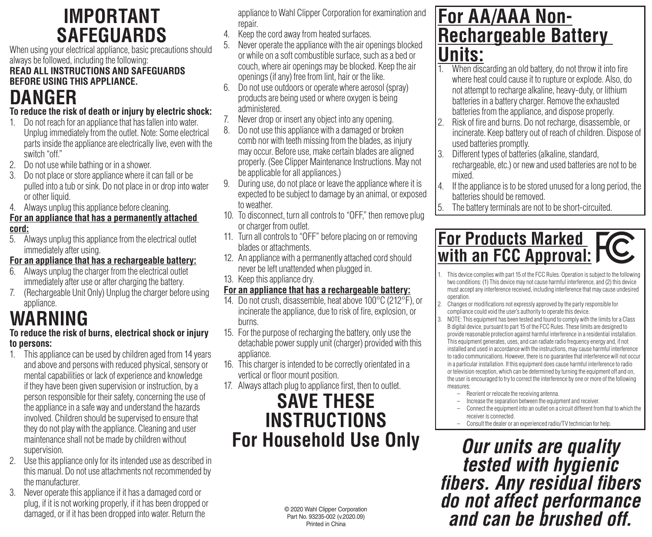## **IMPORTANT SAFEGUARDS**

When using your electrical appliance, basic precautions should always be followed, including the following:

#### **READ ALL INSTRUCTIONS AND SAFEGUARDS BEFORE USING THIS APPLIANCE.**

## **DANGER**

### **To reduce the risk of death or injury by electric shock:**

- 1. Do not reach for an appliance that has fallen into water. Unplug immediately from the outlet. Note: Some electrical parts inside the appliance are electrically live, even with the switch "off."
- 2. Do not use while bathing or in a shower.
- 3. Do not place or store appliance where it can fall or be pulled into a tub or sink. Do not place in or drop into water or other liquid.
- 4. Always unplug this appliance before cleaning.

#### **For an appliance that has a permanently attached cord:**

5. Always unplug this appliance from the electrical outlet immediately after using.

### **For an appliance that has a rechargeable battery:**

- Always unplug the charger from the electrical outlet immediately after use or after charging the battery.
- 7. (Rechargeable Unit Only) Unplug the charger before using appliance.

## **WARNING**

### **To reduce the risk of burns, electrical shock or injury to persons:**

- 1. This appliance can be used by children aged from 14 years and above and persons with reduced physical, sensory or mental capabilities or lack of experience and knowledge if they have been given supervision or instruction, by a person responsible for their safety, concerning the use of the appliance in a safe way and understand the hazards involved. Children should be supervised to ensure that they do not play with the appliance. Cleaning and user maintenance shall not be made by children without supervision.
- 2. Use this appliance only for its intended use as described in this manual. Do not use attachments not recommended by the manufacturer.
- 3. Never operate this appliance if it has a damaged cord or plug, if it is not working properly, if it has been dropped or damaged, or if it has been dropped into water. Return the

appliance to Wahl Clipper Corporation for examination and repair.

- 4. Keep the cord away from heated surfaces.
- 5. Never operate the appliance with the air openings blocked or while on a soft combustible surface, such as a bed or couch, where air openings may be blocked. Keep the air openings (ifany) free from lint, hair or the like.
- 6. Do not use outdoors or operate where aerosol (spray) products are being used or where oxygen is being administered.
- 7. Never drop or insert any object into any opening.
- 8. Do not use this appliance with a damaged or broken comb nor with teeth missing from the blades, as injury may occur. Before use, make certain blades are aligned properly. (See Clipper Maintenance Instructions. May not be applicable for all appliances.)
- 9. During use, do not place or leave the appliance where it is expected to be subject to damage by an animal, or exposed to weather.
- 10. To disconnect, turn all controls to "OFF," then remove plug or charger from outlet.
- 11. Turn all controls to "OFF" before placing on or removing blades or attachments.
- 12. An appliance with a permanently attached cord should never be left unattended when plugged in.
- 13. Keep this appliance dry.

### **For an appliance that has a rechargeable battery:**

- 14. Do not crush, disassemble, heat above 100°C (212°F), or incinerate the appliance, due to risk of fire, explosion, or burns.
- 15. For the purpose of recharging the battery, only use the detachable power supply unit (charger) provided with this appliance.
- 16. This charger is intended to be correctly orientated in a vertical or floor mount position.
- 17. Always attach plug to appliance first, then to outlet.

### **SAVE THESE INSTRUCTIONS For Household Use Only**

© 2020 Wahl Clipper Corporation Part No. 93235-002 (v.2020.09) Printed in China

### **For AA/AAA Non-Rechargeable Battery Units:**

- 1. When discarding an old battery, do not throw it into fire where heat could cause it to rupture or explode. Also, do not attempt to recharge alkaline, heavy-duty, or lithium batteries in a battery charger. Remove the exhausted batteries from the appliance, and dispose properly.
- 2. Risk of fire and burns. Do not recharge, disassemble, or incinerate. Keep battery out of reach of children. Dispose of used batteries promptly.
- 3. Different types of batteries (alkaline, standard, rechargeable, etc.) or new and used batteries are not to be mixed.
- 4. If the appliance is to be stored unused for a long period, the batteries should be removed.
- 5. The battery terminals are not to be short-circuited.

## **For Products Marked with an FCC Approval:**

- 1. This device complies with part 15 of the FCC Rules. Operation is subject to the following two conditions: (1) This device may not cause harmful interference, and (2) this device must accept any interference received, including interference that may cause undesired operation.
- 2. Changes or modifications not expressly approved by the party responsible for compliance could void the user's authority to operate this device.
- 3. NOTE: This equipment has been tested and found to comply with the limits for a Class B digital device, pursuant to part 15 of the FCC Rules. These limits are designed to provide reasonable protection against harmful interference in a residential installation. This equipment generates, uses, and can radiate radio frequency energy and, if not installed and used in accordance with the instructions, may cause harmful interference to radio communications. However, there is no guarantee that interference will not occur in a particular installation. If this equipment does cause harmful interference to radio or television reception, which can be determined by turning the equipment off and on, the user is encouraged to try to correct the interference by one or more of the following measures:
	- Reorient or relocate the receiving antenna.
	- Increase the separation between the equipment and receiver.
	- Connect the equipment into an outlet on a circuit different from that to which the receiver is connected.
	- Consult the dealer or an experienced radio/TV technician for help.

*Our units are quality fibers. Any residual fibers do not affect performance and can be brushed off.*